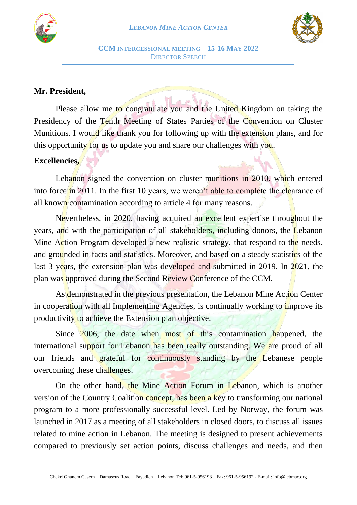



## **Mr. President,**

Please allow me to congratulate you and the United Kingdom on taking the Presidency of the Tenth Meeting of States Parties of the Convention on Cluster Munitions. I would like thank you for following up with the extension plans, and for this opportunity for us to update you and share our challenges with you.

### **Excellencies,**

Lebanon signed the convention on cluster munitions in 2010, which entered into force in 2011. In the first 10 years, we weren't able to complete the clearance of all known contamination according to article 4 for many reasons.

Nevertheless, in 2020, having acquired an excellent expertise throughout the years, and with the participation of all stakeholders, including donors, the Lebanon Mine Action Program developed a new realistic strategy, that respond to the needs, and grounded in facts and statistics. Moreover, and based on a steady statistics of the last 3 years, the extension plan was developed and submitted in 2019. In 2021, the plan was approved during the Second Review Conference of the CCM.

As demonstrated in the previous presentation, the Lebanon Mine Action Center in cooperation with all Implementing Agencies, is continually working to *improve* its productivity to achieve the Extension plan objective.

Since 2006, the date when most of this contamination happened, the international support for Lebanon has been really outstanding. We are proud of all our friends and grateful for continuously standing by the Lebanese people overcoming these challenges.

On the other hand, the Mine Action Forum in Lebanon, which is another version of the Country Coalition concept, has been a key to transforming our national program to a more professionally successful level. Led by Norway, the forum was launched in 2017 as a meeting of all stakeholders in closed doors, to discuss all issues related to mine action in Lebanon. The meeting is designed to present achievements compared to previously set action points, discuss challenges and needs, and then